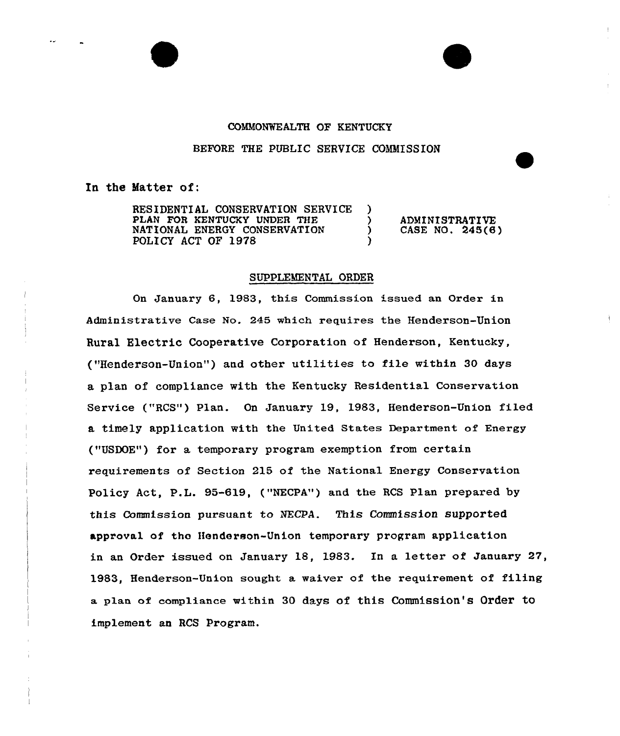## COMMONVEALTH OF KENTUCKY

## BEFORE THE PUBLIC SERVICE COMMISSION

)<br>>

)

In the Matter of:

RESIDENTIAL CONSERVATION SERVICE PLAN FOR KENTUCKY UNDER THE NATIONAL ENERGY CONSERVATION POLICY ACT OF 1978

) ADMINISTRATIVE<br>
) CASE NO. 245(6 } CASE NO. 245(6}

## SUPPLEMENTAL ORDER

On January 6, 1983, this Commission issued an Order in Administrative Case No. 245 which requires the Henderson-Union Rural Electric Cooperative Corporation of Henderson, Kentucky, ("Henderson-Union") and other utilities to file within 30 days a plan of compliance with the Kentucky Residential Conservation Service ("RCS") Plan. On January 19, 1983, Henderson-Union filed a timely application with the United states Department of Energy ("USDOE") for a temporary program exemption from certain requirements of Section 215 of the National Energy Conservation Policy Aet, P.L. 95-619, ("NECPA") and the RCS Plan prepared by this Commission pursuant to NECPA. This Commission supported approval of tho Henderson-Union temporary program application in an Order issued on January 18, 1983. In a letter of January 27, 1983, Henderson-Union sought a waiver of the requirement of filing a plan of compliance within 30 days of this Commission's Order to implement an RCS Program.